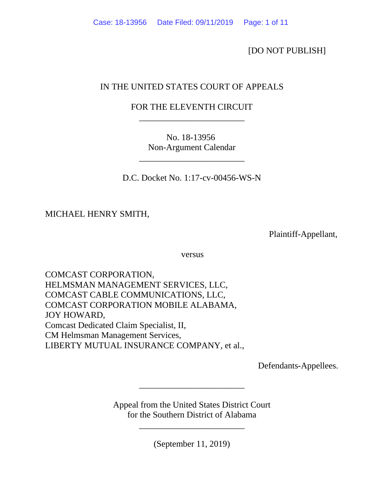[DO NOT PUBLISH]

# IN THE UNITED STATES COURT OF APPEALS

# FOR THE ELEVENTH CIRCUIT \_\_\_\_\_\_\_\_\_\_\_\_\_\_\_\_\_\_\_\_\_\_\_\_

No. 18-13956 Non-Argument Calendar

\_\_\_\_\_\_\_\_\_\_\_\_\_\_\_\_\_\_\_\_\_\_\_\_

D.C. Docket No. 1:17-cv-00456-WS-N

MICHAEL HENRY SMITH,

Plaintiff-Appellant,

versus versus

COMCAST CORPORATION, HELMSMAN MANAGEMENT SERVICES, LLC, COMCAST CABLE COMMUNICATIONS, LLC, COMCAST CORPORATION MOBILE ALABAMA, JOY HOWARD, Comcast Dedicated Claim Specialist, II, CM Helmsman Management Services, LIBERTY MUTUAL INSURANCE COMPANY, et al.,

Defendants-Appellees.

Appeal from the United States District Court for the Southern District of Alabama

\_\_\_\_\_\_\_\_\_\_\_\_\_\_\_\_\_\_\_\_\_\_\_\_

(September 11, 2019)

\_\_\_\_\_\_\_\_\_\_\_\_\_\_\_\_\_\_\_\_\_\_\_\_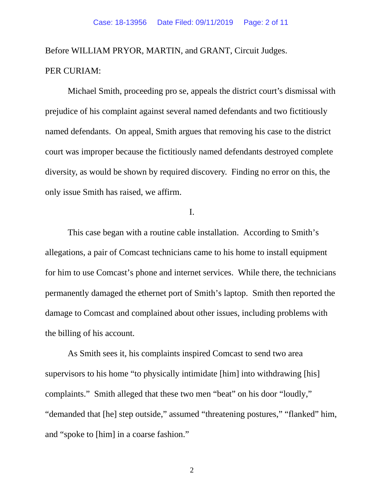Before WILLIAM PRYOR, MARTIN, and GRANT, Circuit Judges. PER CURIAM:

Michael Smith, proceeding pro se, appeals the district court's dismissal with prejudice of his complaint against several named defendants and two fictitiously named defendants. On appeal, Smith argues that removing his case to the district court was improper because the fictitiously named defendants destroyed complete diversity, as would be shown by required discovery. Finding no error on this, the only issue Smith has raised, we affirm.

I.

This case began with a routine cable installation. According to Smith's allegations, a pair of Comcast technicians came to his home to install equipment for him to use Comcast's phone and internet services. While there, the technicians permanently damaged the ethernet port of Smith's laptop. Smith then reported the damage to Comcast and complained about other issues, including problems with the billing of his account.

As Smith sees it, his complaints inspired Comcast to send two area supervisors to his home "to physically intimidate [him] into withdrawing [his] complaints." Smith alleged that these two men "beat" on his door "loudly," "demanded that [he] step outside," assumed "threatening postures," "flanked" him, and "spoke to [him] in a coarse fashion."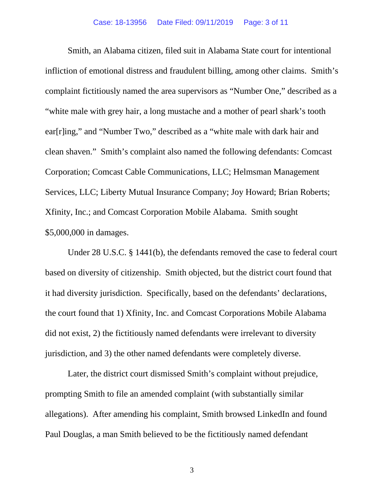Smith, an Alabama citizen, filed suit in Alabama State court for intentional infliction of emotional distress and fraudulent billing, among other claims. Smith's complaint fictitiously named the area supervisors as "Number One," described as a "white male with grey hair, a long mustache and a mother of pearl shark's tooth ear[r]ing," and "Number Two," described as a "white male with dark hair and clean shaven." Smith's complaint also named the following defendants: Comcast Corporation; Comcast Cable Communications, LLC; Helmsman Management Services, LLC; Liberty Mutual Insurance Company; Joy Howard; Brian Roberts; Xfinity, Inc.; and Comcast Corporation Mobile Alabama. Smith sought \$5,000,000 in damages.

Under 28 U.S.C. § 1441(b), the defendants removed the case to federal court based on diversity of citizenship. Smith objected, but the district court found that it had diversity jurisdiction. Specifically, based on the defendants' declarations, the court found that 1) Xfinity, Inc. and Comcast Corporations Mobile Alabama did not exist, 2) the fictitiously named defendants were irrelevant to diversity jurisdiction, and 3) the other named defendants were completely diverse.

Later, the district court dismissed Smith's complaint without prejudice, prompting Smith to file an amended complaint (with substantially similar allegations). After amending his complaint, Smith browsed LinkedIn and found Paul Douglas, a man Smith believed to be the fictitiously named defendant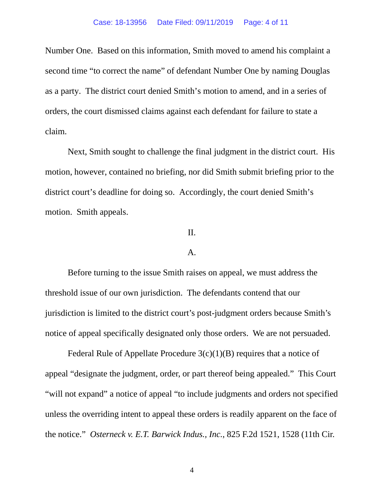Number One. Based on this information, Smith moved to amend his complaint a second time "to correct the name" of defendant Number One by naming Douglas as a party. The district court denied Smith's motion to amend, and in a series of orders, the court dismissed claims against each defendant for failure to state a claim.

Next, Smith sought to challenge the final judgment in the district court. His motion, however, contained no briefing, nor did Smith submit briefing prior to the district court's deadline for doing so. Accordingly, the court denied Smith's motion. Smith appeals.

## II.

### A.

Before turning to the issue Smith raises on appeal, we must address the threshold issue of our own jurisdiction. The defendants contend that our jurisdiction is limited to the district court's post-judgment orders because Smith's notice of appeal specifically designated only those orders. We are not persuaded.

Federal Rule of Appellate Procedure  $3(c)(1)(B)$  requires that a notice of appeal "designate the judgment, order, or part thereof being appealed." This Court "will not expand" a notice of appeal "to include judgments and orders not specified unless the overriding intent to appeal these orders is readily apparent on the face of the notice." *Osterneck v. E.T. Barwick Indus., Inc.*, 825 F.2d 1521, 1528 (11th Cir.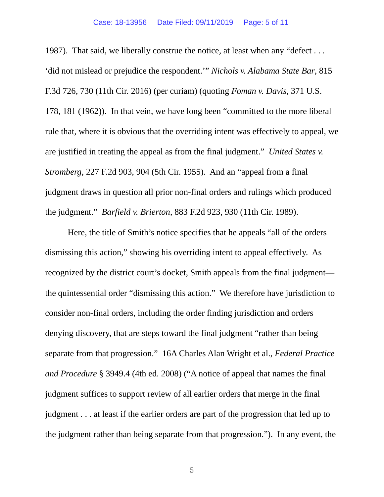#### Case: 18-13956 Date Filed: 09/11/2019 Page: 5 of 11

1987). That said, we liberally construe the notice, at least when any "defect . . . 'did not mislead or prejudice the respondent.'" *Nichols v. Alabama State Bar*, 815 F.3d 726, 730 (11th Cir. 2016) (per curiam) (quoting *Foman v. Davis*, 371 U.S. 178, 181 (1962)). In that vein, we have long been "committed to the more liberal rule that, where it is obvious that the overriding intent was effectively to appeal, we are justified in treating the appeal as from the final judgment." *United States v. Stromberg*, 227 F.2d 903, 904 (5th Cir. 1955). And an "appeal from a final judgment draws in question all prior non-final orders and rulings which produced the judgment." *Barfield v. Brierton*, 883 F.2d 923, 930 (11th Cir. 1989).

Here, the title of Smith's notice specifies that he appeals "all of the orders dismissing this action," showing his overriding intent to appeal effectively. As recognized by the district court's docket, Smith appeals from the final judgment the quintessential order "dismissing this action." We therefore have jurisdiction to consider non-final orders, including the order finding jurisdiction and orders denying discovery, that are steps toward the final judgment "rather than being separate from that progression." 16A Charles Alan Wright et al., *Federal Practice and Procedure* § 3949.4 (4th ed. 2008) ("A notice of appeal that names the final judgment suffices to support review of all earlier orders that merge in the final judgment . . . at least if the earlier orders are part of the progression that led up to the judgment rather than being separate from that progression."). In any event, the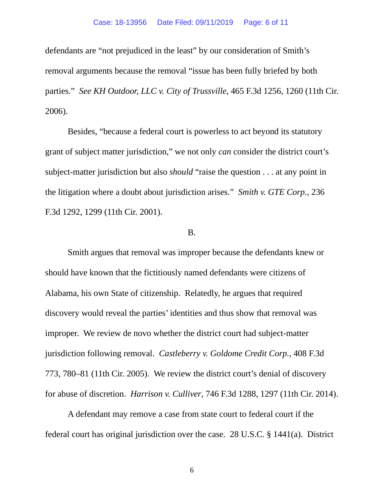defendants are "not prejudiced in the least" by our consideration of Smith's removal arguments because the removal "issue has been fully briefed by both parties." *See KH Outdoor, LLC v. City of Trussville*, 465 F.3d 1256, 1260 (11th Cir. 2006).

Besides, "because a federal court is powerless to act beyond its statutory grant of subject matter jurisdiction," we not only *can* consider the district court's subject-matter jurisdiction but also *should* "raise the question . . . at any point in the litigation where a doubt about jurisdiction arises." *Smith v. GTE Corp.*, 236 F.3d 1292, 1299 (11th Cir. 2001).

### B.

Smith argues that removal was improper because the defendants knew or should have known that the fictitiously named defendants were citizens of Alabama, his own State of citizenship. Relatedly, he argues that required discovery would reveal the parties' identities and thus show that removal was improper. We review de novo whether the district court had subject-matter jurisdiction following removal. *Castleberry v. Goldome Credit Corp.*, 408 F.3d 773, 780–81 (11th Cir. 2005). We review the district court's denial of discovery for abuse of discretion. *Harrison v. Culliver*, 746 F.3d 1288, 1297 (11th Cir. 2014).

A defendant may remove a case from state court to federal court if the federal court has original jurisdiction over the case. 28 U.S.C. § 1441(a). District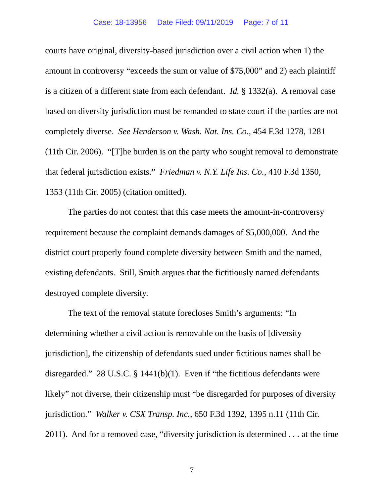courts have original, diversity-based jurisdiction over a civil action when 1) the amount in controversy "exceeds the sum or value of \$75,000" and 2) each plaintiff is a citizen of a different state from each defendant. *Id.* § 1332(a). A removal case based on diversity jurisdiction must be remanded to state court if the parties are not completely diverse. *See Henderson v. Wash. Nat. Ins. Co.*, 454 F.3d 1278, 1281 (11th Cir. 2006). "[T]he burden is on the party who sought removal to demonstrate that federal jurisdiction exists." *Friedman v. N.Y. Life Ins. Co.*, 410 F.3d 1350, 1353 (11th Cir. 2005) (citation omitted).

The parties do not contest that this case meets the amount-in-controversy requirement because the complaint demands damages of \$5,000,000. And the district court properly found complete diversity between Smith and the named, existing defendants. Still, Smith argues that the fictitiously named defendants destroyed complete diversity.

The text of the removal statute forecloses Smith's arguments: "In determining whether a civil action is removable on the basis of [diversity jurisdiction], the citizenship of defendants sued under fictitious names shall be disregarded." 28 U.S.C. § 1441(b)(1). Even if "the fictitious defendants were likely" not diverse, their citizenship must "be disregarded for purposes of diversity jurisdiction." *Walker v. CSX Transp. Inc.*, 650 F.3d 1392, 1395 n.11 (11th Cir. 2011). And for a removed case, "diversity jurisdiction is determined . . . at the time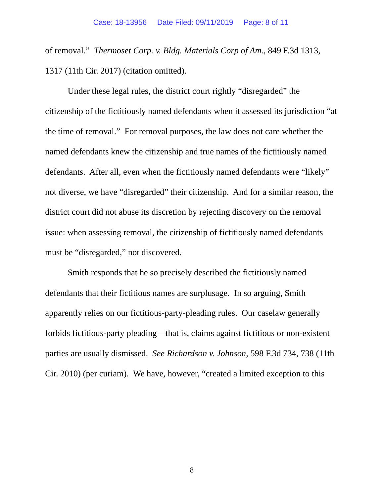of removal." *Thermoset Corp. v. Bldg. Materials Corp of Am.*, 849 F.3d 1313, 1317 (11th Cir. 2017) (citation omitted).

Under these legal rules, the district court rightly "disregarded" the citizenship of the fictitiously named defendants when it assessed its jurisdiction "at the time of removal." For removal purposes, the law does not care whether the named defendants knew the citizenship and true names of the fictitiously named defendants. After all, even when the fictitiously named defendants were "likely" not diverse, we have "disregarded" their citizenship. And for a similar reason, the district court did not abuse its discretion by rejecting discovery on the removal issue: when assessing removal, the citizenship of fictitiously named defendants must be "disregarded," not discovered.

Smith responds that he so precisely described the fictitiously named defendants that their fictitious names are surplusage. In so arguing, Smith apparently relies on our fictitious-party-pleading rules. Our caselaw generally forbids fictitious-party pleading—that is, claims against fictitious or non-existent parties are usually dismissed. *See Richardson v. Johnson*, 598 F.3d 734, 738 (11th Cir. 2010) (per curiam). We have, however, "created a limited exception to this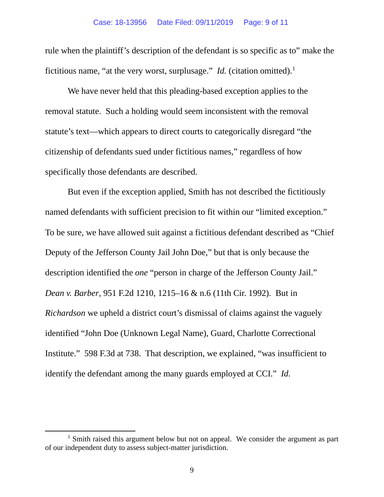rule when the plaintiff's description of the defendant is so specific as to" make the fictitious name, "at the very worst, surplusage." *Id.* (citation omitted).<sup>[1](#page-8-0)</sup>

We have never held that this pleading-based exception applies to the removal statute. Such a holding would seem inconsistent with the removal statute's text—which appears to direct courts to categorically disregard "the citizenship of defendants sued under fictitious names," regardless of how specifically those defendants are described.

But even if the exception applied, Smith has not described the fictitiously named defendants with sufficient precision to fit within our "limited exception." To be sure, we have allowed suit against a fictitious defendant described as "Chief Deputy of the Jefferson County Jail John Doe," but that is only because the description identified the *one* "person in charge of the Jefferson County Jail." *Dean v. Barber*, 951 F.2d 1210, 1215–16 & n.6 (11th Cir. 1992). But in *Richardson* we upheld a district court's dismissal of claims against the vaguely identified "John Doe (Unknown Legal Name), Guard, Charlotte Correctional Institute." 598 F.3d at 738. That description, we explained, "was insufficient to identify the defendant among the many guards employed at CCI." *Id.* 

<span id="page-8-0"></span> $<sup>1</sup>$  Smith raised this argument below but not on appeal. We consider the argument as part</sup> of our independent duty to assess subject-matter jurisdiction.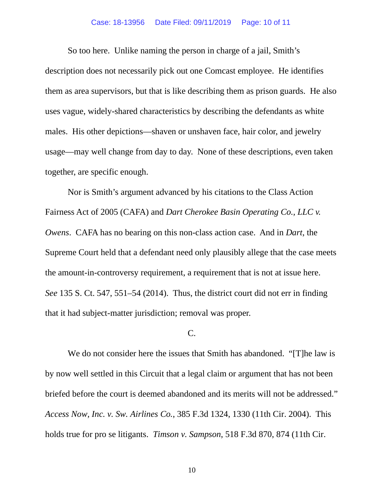#### Case: 18-13956 Date Filed: 09/11/2019 Page: 10 of 11

So too here. Unlike naming the person in charge of a jail, Smith's description does not necessarily pick out one Comcast employee. He identifies them as area supervisors, but that is like describing them as prison guards. He also uses vague, widely-shared characteristics by describing the defendants as white males. His other depictions—shaven or unshaven face, hair color, and jewelry usage—may well change from day to day. None of these descriptions, even taken together, are specific enough.

Nor is Smith's argument advanced by his citations to the Class Action Fairness Act of 2005 (CAFA) and *Dart Cherokee Basin Operating Co., LLC v. Owens*. CAFA has no bearing on this non-class action case. And in *Dart*, the Supreme Court held that a defendant need only plausibly allege that the case meets the amount-in-controversy requirement, a requirement that is not at issue here. *See* 135 S. Ct. 547, 551–54 (2014). Thus, the district court did not err in finding that it had subject-matter jurisdiction; removal was proper.

#### C.

We do not consider here the issues that Smith has abandoned. "[T]he law is by now well settled in this Circuit that a legal claim or argument that has not been briefed before the court is deemed abandoned and its merits will not be addressed." *Access Now, Inc. v. Sw. Airlines Co.*, 385 F.3d 1324, 1330 (11th Cir. 2004). This holds true for pro se litigants. *Timson v. Sampson*, 518 F.3d 870, 874 (11th Cir.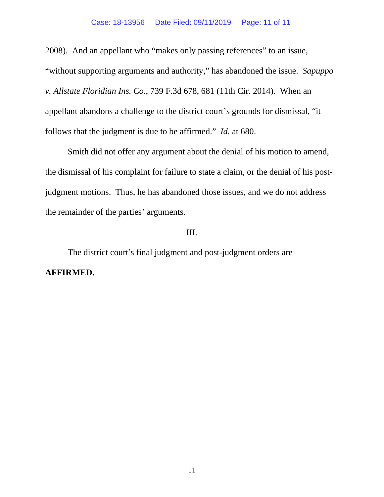2008). And an appellant who "makes only passing references" to an issue, "without supporting arguments and authority," has abandoned the issue. *Sapuppo v. Allstate Floridian Ins. Co.*, 739 F.3d 678, 681 (11th Cir. 2014). When an appellant abandons a challenge to the district court's grounds for dismissal, "it follows that the judgment is due to be affirmed." *Id.* at 680.

Smith did not offer any argument about the denial of his motion to amend, the dismissal of his complaint for failure to state a claim, or the denial of his postjudgment motions. Thus, he has abandoned those issues, and we do not address the remainder of the parties' arguments.

## III.

The district court's final judgment and post-judgment orders are **AFFIRMED.**